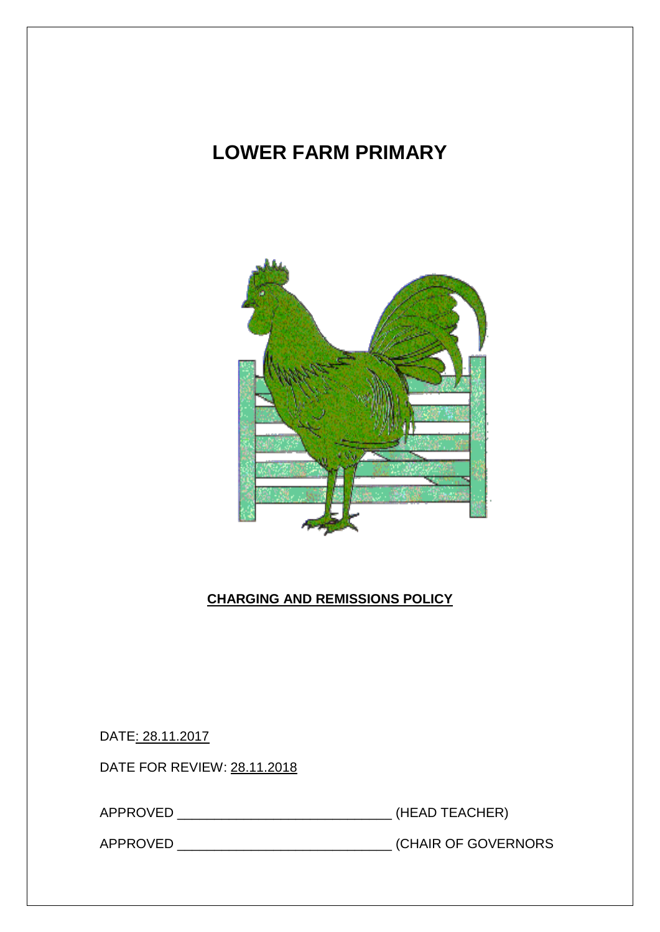# **LOWER FARM PRIMARY**



# **CHARGING AND REMISSIONS POLICY**

DATE: 28.11.2017

DATE FOR REVIEW: 28.11.2018

APPROVED \_\_\_\_\_\_\_\_\_\_\_\_\_\_\_\_\_\_\_\_\_\_\_\_\_\_\_\_\_ (HEAD TEACHER)

APPROVED \_\_\_\_\_\_\_\_\_\_\_\_\_\_\_\_\_\_\_\_\_\_\_\_\_\_\_\_\_ (CHAIR OF GOVERNORS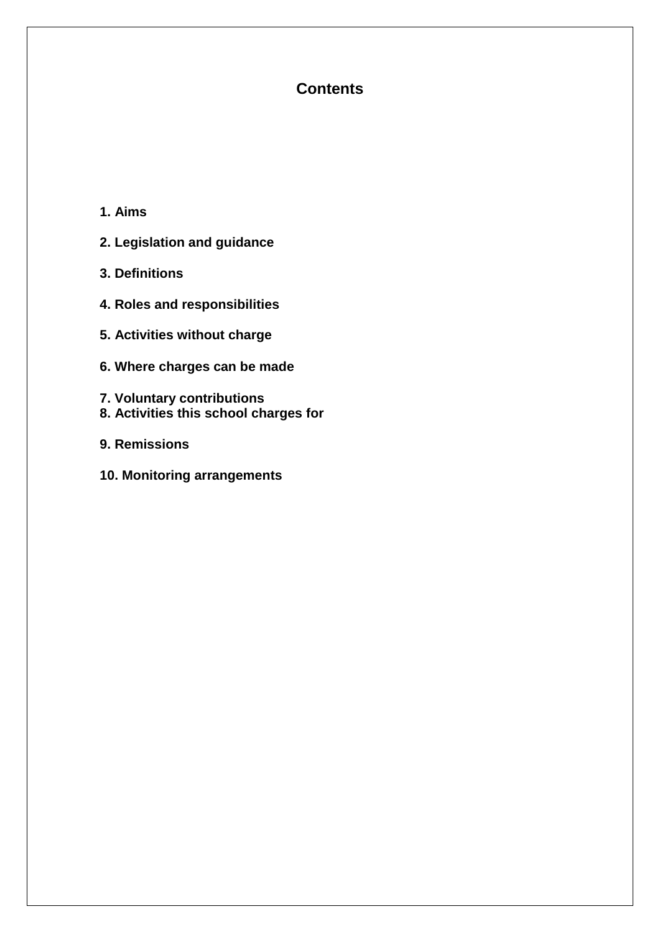# **Contents**

- **1. Aims**
- **2. Legislation and guidance**
- **3. Definitions**
- **4. Roles and responsibilities**
- **5. Activities without charge**
- **6. Where charges can be made**
- **7. Voluntary contributions**
- **8. Activities this school charges for**
- **9. Remissions**
- **10. Monitoring arrangements**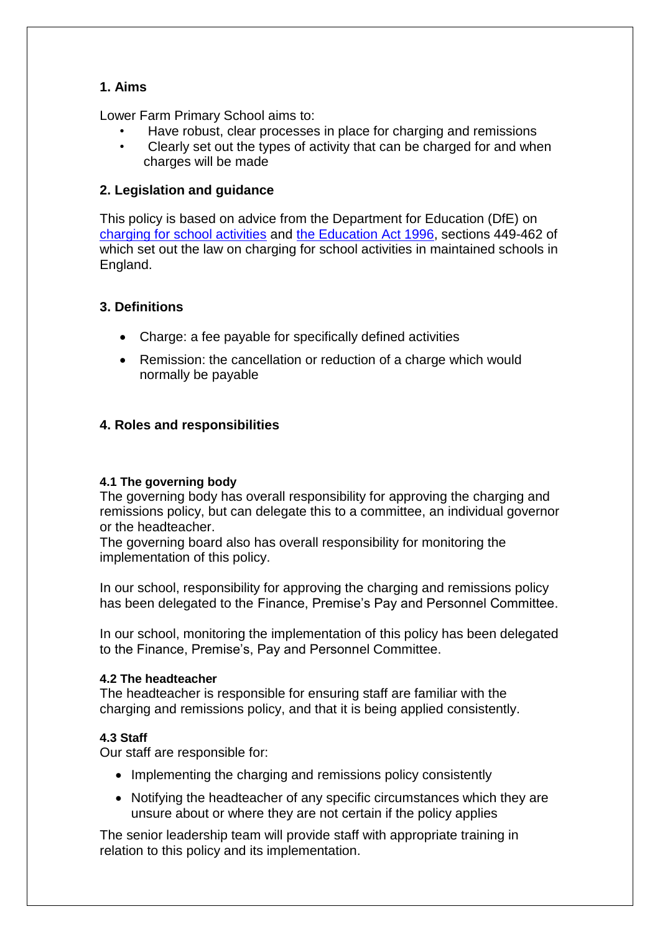## **1. Aims**

Lower Farm Primary School aims to:

- Have robust, clear processes in place for charging and remissions
- Clearly set out the types of activity that can be charged for and when charges will be made

## **2. Legislation and guidance**

This policy is based on advice from the Department for Education (DfE) on [charging for school activities](https://www.gov.uk/government/publications/charging-for-school-activities) and [the Education Act 1996,](http://www.legislation.gov.uk/ukpga/1996/56/part/VI/chapter/III) sections 449-462 of which set out the law on charging for school activities in maintained schools in England.

## **3. Definitions**

- Charge: a fee payable for specifically defined activities
- Remission: the cancellation or reduction of a charge which would normally be payable

## **4. Roles and responsibilities**

## **4.1 The governing body**

The governing body has overall responsibility for approving the charging and remissions policy, but can delegate this to a committee, an individual governor or the headteacher.

The governing board also has overall responsibility for monitoring the implementation of this policy.

In our school, responsibility for approving the charging and remissions policy has been delegated to the Finance, Premise's Pay and Personnel Committee.

In our school, monitoring the implementation of this policy has been delegated to the Finance, Premise's, Pay and Personnel Committee.

## **4.2 The headteacher**

The headteacher is responsible for ensuring staff are familiar with the charging and remissions policy, and that it is being applied consistently.

## **4.3 Staff**

Our staff are responsible for:

- Implementing the charging and remissions policy consistently
- Notifying the headteacher of any specific circumstances which they are unsure about or where they are not certain if the policy applies

The senior leadership team will provide staff with appropriate training in relation to this policy and its implementation.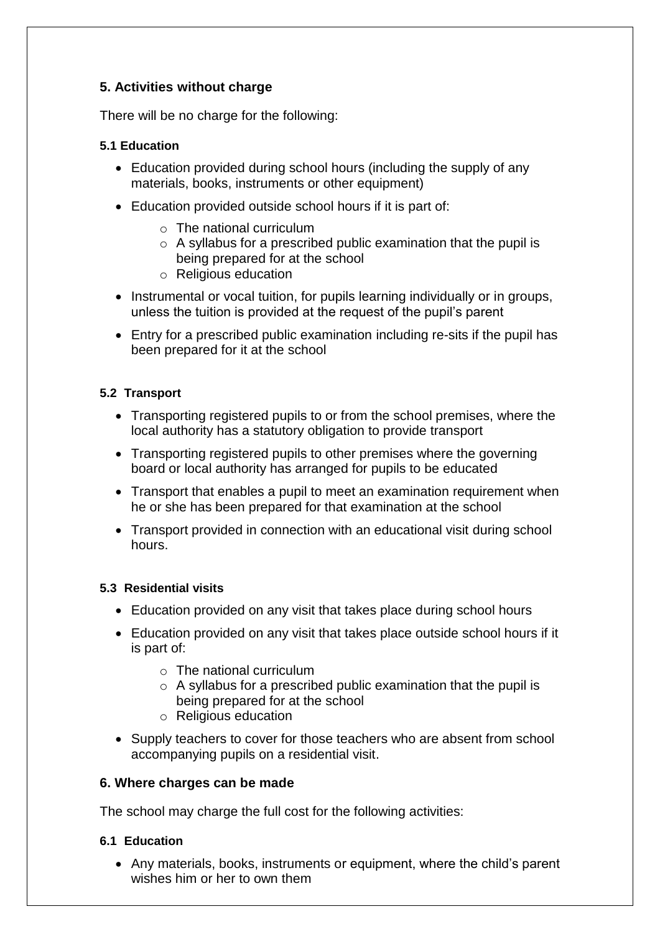## **5. Activities without charge**

There will be no charge for the following:

#### **5.1 Education**

- Education provided during school hours (including the supply of any materials, books, instruments or other equipment)
- Education provided outside school hours if it is part of:
	- $\circ$  The national curriculum
	- $\circ$  A syllabus for a prescribed public examination that the pupil is being prepared for at the school
	- o Religious education
- Instrumental or vocal tuition, for pupils learning individually or in groups, unless the tuition is provided at the request of the pupil's parent
- Entry for a prescribed public examination including re-sits if the pupil has been prepared for it at the school

#### **5.2 Transport**

- Transporting registered pupils to or from the school premises, where the local authority has a statutory obligation to provide transport
- Transporting registered pupils to other premises where the governing board or local authority has arranged for pupils to be educated
- Transport that enables a pupil to meet an examination requirement when he or she has been prepared for that examination at the school
- Transport provided in connection with an educational visit during school hours.

#### **5.3 Residential visits**

- Education provided on any visit that takes place during school hours
- Education provided on any visit that takes place outside school hours if it is part of:
	- o The national curriculum
	- $\circ$  A syllabus for a prescribed public examination that the pupil is being prepared for at the school
	- o Religious education
- Supply teachers to cover for those teachers who are absent from school accompanying pupils on a residential visit.

#### **6. Where charges can be made**

The school may charge the full cost for the following activities:

#### **6.1 Education**

 Any materials, books, instruments or equipment, where the child's parent wishes him or her to own them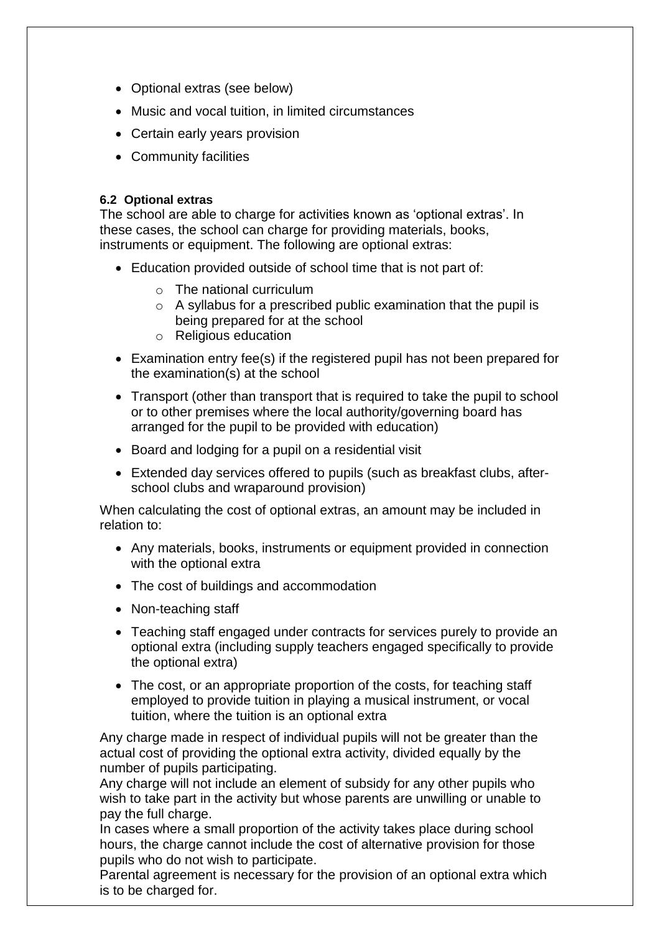- Optional extras (see below)
- Music and vocal tuition, in limited circumstances
- Certain early years provision
- Community facilities

#### **6.2 Optional extras**

The school are able to charge for activities known as 'optional extras'. In these cases, the school can charge for providing materials, books, instruments or equipment. The following are optional extras:

- Education provided outside of school time that is not part of:
	- o The national curriculum
	- $\circ$  A syllabus for a prescribed public examination that the pupil is being prepared for at the school
	- o Religious education
- Examination entry fee(s) if the registered pupil has not been prepared for the examination(s) at the school
- Transport (other than transport that is required to take the pupil to school or to other premises where the local authority/governing board has arranged for the pupil to be provided with education)
- Board and lodging for a pupil on a residential visit
- Extended day services offered to pupils (such as breakfast clubs, afterschool clubs and wraparound provision)

When calculating the cost of optional extras, an amount may be included in relation to:

- Any materials, books, instruments or equipment provided in connection with the optional extra
- The cost of buildings and accommodation
- Non-teaching staff
- Teaching staff engaged under contracts for services purely to provide an optional extra (including supply teachers engaged specifically to provide the optional extra)
- The cost, or an appropriate proportion of the costs, for teaching staff employed to provide tuition in playing a musical instrument, or vocal tuition, where the tuition is an optional extra

Any charge made in respect of individual pupils will not be greater than the actual cost of providing the optional extra activity, divided equally by the number of pupils participating.

Any charge will not include an element of subsidy for any other pupils who wish to take part in the activity but whose parents are unwilling or unable to pay the full charge.

In cases where a small proportion of the activity takes place during school hours, the charge cannot include the cost of alternative provision for those pupils who do not wish to participate.

Parental agreement is necessary for the provision of an optional extra which is to be charged for.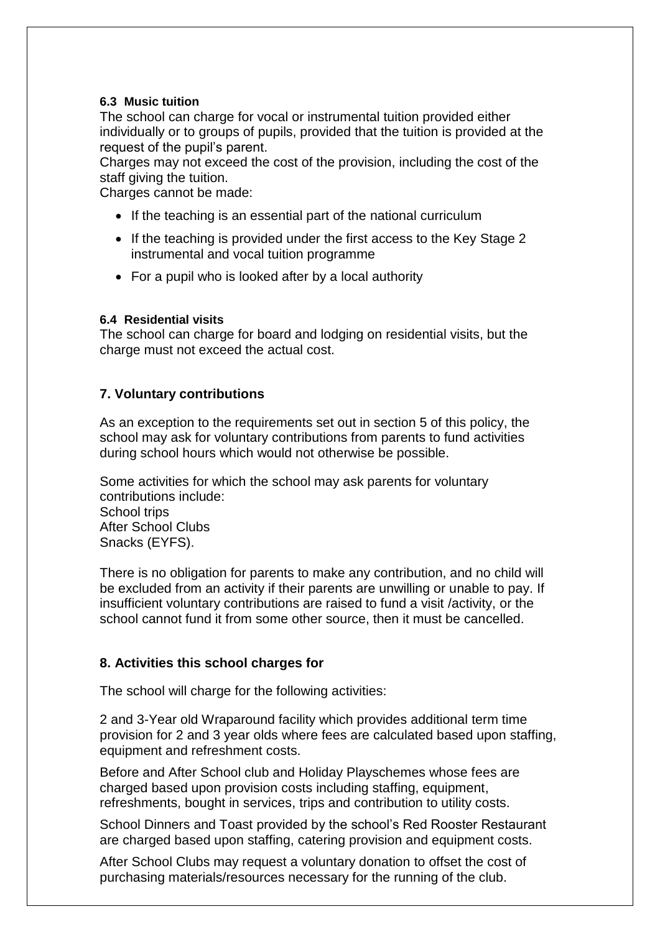#### **6.3 Music tuition**

The school can charge for vocal or instrumental tuition provided either individually or to groups of pupils, provided that the tuition is provided at the request of the pupil's parent.

Charges may not exceed the cost of the provision, including the cost of the staff giving the tuition.

Charges cannot be made:

- If the teaching is an essential part of the national curriculum
- If the teaching is provided under the first access to the Key Stage 2 instrumental and vocal tuition programme
- For a pupil who is looked after by a local authority

#### **6.4 Residential visits**

The school can charge for board and lodging on residential visits, but the charge must not exceed the actual cost.

#### **7. Voluntary contributions**

As an exception to the requirements set out in section 5 of this policy, the school may ask for voluntary contributions from parents to fund activities during school hours which would not otherwise be possible.

Some activities for which the school may ask parents for voluntary contributions include: School trips After School Clubs Snacks (EYFS).

There is no obligation for parents to make any contribution, and no child will be excluded from an activity if their parents are unwilling or unable to pay. If insufficient voluntary contributions are raised to fund a visit /activity, or the school cannot fund it from some other source, then it must be cancelled.

#### **8. Activities this school charges for**

The school will charge for the following activities:

2 and 3-Year old Wraparound facility which provides additional term time provision for 2 and 3 year olds where fees are calculated based upon staffing, equipment and refreshment costs.

Before and After School club and Holiday Playschemes whose fees are charged based upon provision costs including staffing, equipment, refreshments, bought in services, trips and contribution to utility costs.

School Dinners and Toast provided by the school's Red Rooster Restaurant are charged based upon staffing, catering provision and equipment costs.

After School Clubs may request a voluntary donation to offset the cost of purchasing materials/resources necessary for the running of the club.